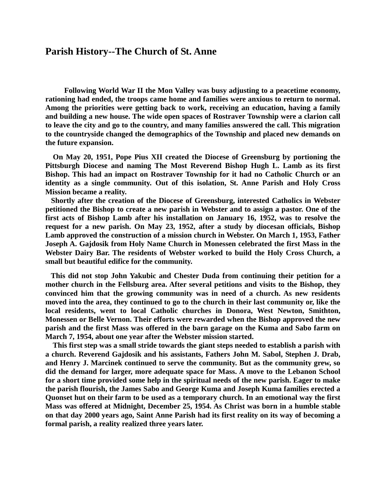## **Parish History--The Church of St. Anne**

 **Following World War II the Mon Valley was busy adjusting to a peacetime economy, rationing had ended, the troops came home and families were anxious to return to normal. Among the priorities were getting back to work, receiving an education, having a family and building a new house. The wide open spaces of Rostraver Township were a clarion call to leave the city and go to the country, and many families answered the call. This migration to the countryside changed the demographics of the Township and placed new demands on the future expansion.**

 **On May 20, 1951, Pope Pius XII created the Diocese of Greensburg by portioning the Pittsburgh Diocese and naming The Most Reverend Bishop Hugh L. Lamb as its first Bishop. This had an impact on Rostraver Township for it had no Catholic Church or an identity as a single community. Out of this isolation, St. Anne Parish and Holy Cross Mission became a reality.**

 **Shortly after the creation of the Diocese of Greensburg, interested Catholics in Webster petitioned the Bishop to create a new parish in Webster and to assign a pastor. One of the first acts of Bishop Lamb after his installation on January 16, 1952, was to resolve the request for a new parish. On May 23, 1952, after a study by diocesan officials, Bishop Lamb approved the construction of a mission church in Webster. On March 1, 1953, Father Joseph A. Gajdosik from Holy Name Church in Monessen celebrated the first Mass in the Webster Dairy Bar. The residents of Webster worked to build the Holy Cross Church, a small but beautiful edifice for the community.** 

 **This did not stop John Yakubic and Chester Duda from continuing their petition for a mother church in the Fellsburg area. After several petitions and visits to the Bishop, they convinced him that the growing community was in need of a church. As new residents moved into the area, they continued to go to the church in their last community or, like the local residents, went to local Catholic churches in Donora, West Newton, Smithton, Monessen or Belle Vernon. Their efforts were rewarded when the Bishop approved the new parish and the first Mass was offered in the barn garage on the Kuma and Sabo farm on March 7, 1954, about one year after the Webster mission started.**

 **This first step was a small stride towards the giant steps needed to establish a parish with a church. Reverend Gajdosik and his assistants, Fathers John M. Sabol, Stephen J. Drab, and Henry J. Marcinek continued to serve the community. But as the community grew, so did the demand for larger, more adequate space for Mass. A move to the Lebanon School for a short time provided some help in the spiritual needs of the new parish. Eager to make the parish flourish, the James Sabo and George Kuma and Joseph Kuma families erected a Quonset hut on their farm to be used as a temporary church. In an emotional way the first Mass was offered at Midnight, December 25, 1954. As Christ was born in a humble stable on that day 2000 years ago, Saint Anne Parish had its first reality on its way of becoming a formal parish, a reality realized three years later.**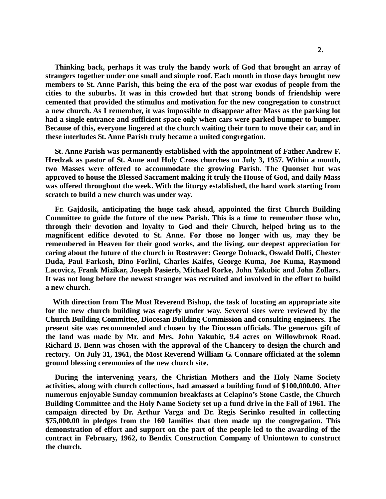**Thinking back, perhaps it was truly the handy work of God that brought an array of strangers together under one small and simple roof. Each month in those days brought new members to St. Anne Parish, this being the era of the post war exodus of people from the cities to the suburbs. It was in this crowded hut that strong bonds of friendship were cemented that provided the stimulus and motivation for the new congregation to construct a new church. As I remember, it was impossible to disappear after Mass as the parking lot had a single entrance and sufficient space only when cars were parked bumper to bumper. Because of this, everyone lingered at the church waiting their turn to move their car, and in these interludes St. Anne Parish truly became a united congregation.**

 **St. Anne Parish was permanently established with the appointment of Father Andrew F. Hredzak as pastor of St. Anne and Holy Cross churches on July 3, 1957. Within a month, two Masses were offered to accommodate the growing Parish. The Quonset hut was approved to house the Blessed Sacrament making it truly the House of God, and daily Mass was offered throughout the week. With the liturgy established, the hard work starting from scratch to build a new church was under way.** 

 **Fr. Gajdosik, anticipating the huge task ahead, appointed the first Church Building Committee to guide the future of the new Parish. This is a time to remember those who, through their devotion and loyalty to God and their Church, helped bring us to the magnificent edifice devoted to St. Anne. For those no longer with us, may they be remembered in Heaven for their good works, and the living, our deepest appreciation for caring about the future of the church in Rostraver: George Dolnack, Oswald Dolfi, Chester Duda, Paul Farkosh, Dino Forlini, Charles Kaifes, George Kuma, Joe Kuma, Raymond Lacovicz, Frank Mizikar, Joseph Pasierb, Michael Rorke, John Yakubic and John Zollars. It was not long before the newest stranger was recruited and involved in the effort to build a new church.**

 **With direction from The Most Reverend Bishop, the task of locating an appropriate site for the new church building was eagerly under way. Several sites were reviewed by the Church Building Committee, Diocesan Building Commission and consulting engineers. The present site was recommended and chosen by the Diocesan officials. The generous gift of the land was made by Mr. and Mrs. John Yakubic, 9.4 acres on Willowbrook Road. Richard B. Benn was chosen with the approval of the Chancery to design the church and rectory. On July 31, 1961, the Most Reverend William G. Connare officiated at the solemn ground blessing ceremonies of the new church site.** 

 **During the intervening years, the Christian Mothers and the Holy Name Society activities, along with church collections, had amassed a building fund of \$100,000.00. After numerous enjoyable Sunday communion breakfasts at Celapino's Stone Castle, the Church Building Committee and the Holy Name Society set up a fund drive in the Fall of 1961. The campaign directed by Dr. Arthur Varga and Dr. Regis Serinko resulted in collecting \$75,000.00 in pledges from the 160 families that then made up the congregation. This demonstration of effort and support on the part of the people led to the awarding of the contract in February, 1962, to Bendix Construction Company of Uniontown to construct the church.**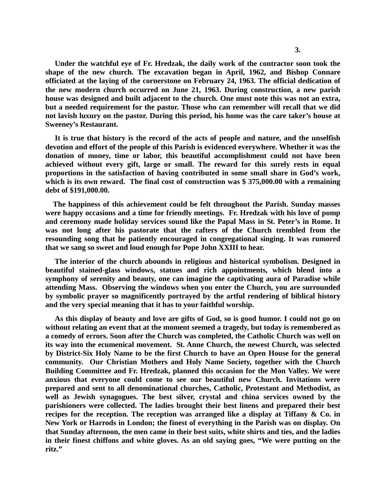**Under the watchful eye of Fr. Hredzak, the daily work of the contractor soon took the shape of the new church. The excavation began in April, 1962, and Bishop Connare officiated at the laying of the cornerstone on February 24, 1963. The official dedication of the new modern church occurred on June 21, 1963. During construction, a new parish house was designed and built adjacent to the church. One must note this was not an extra, but a needed requirement for the pastor. Those who can remember will recall that we did not lavish luxury on the pastor. During this period, his home was the care taker's house at Sweeney's Restaurant.** 

 **It is true that history is the record of the acts of people and nature, and the unselfish devotion and effort of the people of this Parish is evidenced everywhere. Whether it was the donation of money, time or labor, this beautiful accomplishment could not have been achieved without every gift, large or small. The reward for this surely rests in equal proportions in the satisfaction of having contributed in some small share in God's work, which is its own reward. The final cost of construction was \$ 375,000.00 with a remaining debt of \$191,000.00.**

 **The happiness of this achievement could be felt throughout the Parish. Sunday masses were happy occasions and a time for friendly meetings. Fr. Hredzak with his love of pomp and ceremony made holiday services sound like the Papal Mass in St. Peter's in Rome. It was not long after his pastorate that the rafters of the Church trembled from the resounding song that he patiently encouraged in congregational singing. It was rumored that we sang so sweet and loud enough for Pope John XXIII to hear.**

 **The interior of the church abounds in religious and historical symbolism. Designed in beautiful stained-glass windows, statues and rich appointments, which blend into a symphony of serenity and beauty, one can imagine the captivating aura of Paradise while attending Mass. Observing the windows when you enter the Church, you are surrounded by symbolic prayer so magnificently portrayed by the artful rendering of biblical history and the very special meaning that it has to your faithful worship.** 

 **As this display of beauty and love are gifts of God, so is good humor. I could not go on without relating an event that at the moment seemed a tragedy, but today is remembered as a comedy of errors. Soon after the Church was completed, the Catholic Church was well on its way into the ecumenical movement. St. Anne Church, the newest Church, was selected by District-Six Holy Name to be the first Church to have an Open House for the general community. Our Christian Mothers and Holy Name Society, together with the Church Building Committee and Fr. Hredzak, planned this occasion for the Mon Valley. We were anxious that everyone could come to see our beautiful new Church. Invitations were prepared and sent to all denominational churches, Catholic, Protestant and Methodist, as well as Jewish synagogues. The best silver, crystal and china services owned by the parishioners were collected. The ladies brought their best linens and prepared their best recipes for the reception. The reception was arranged like a display at Tiffany & Co. in New York or Harrods in London; the finest of everything in the Parish was on display. On that Sunday afternoon, the men came in their best suits, white shirts and ties, and the ladies in their finest chiffons and white gloves. As an old saying goes, "We were putting on the ritz."**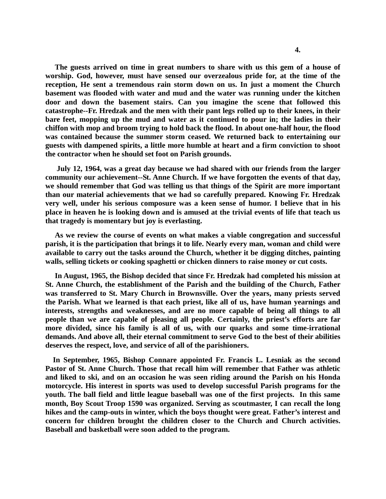**The guests arrived on time in great numbers to share with us this gem of a house of worship. God, however, must have sensed our overzealous pride for, at the time of the reception, He sent a tremendous rain storm down on us. In just a moment the Church basement was flooded with water and mud and the water was running under the kitchen door and down the basement stairs. Can you imagine the scene that followed this catastrophe--Fr. Hredzak and the men with their pant legs rolled up to their knees, in their bare feet, mopping up the mud and water as it continued to pour in; the ladies in their chiffon with mop and broom trying to hold back the flood. In about one-half hour, the flood was contained because the summer storm ceased. We returned back to entertaining our guests with dampened spirits, a little more humble at heart and a firm conviction to shoot the contractor when he should set foot on Parish grounds.** 

 **July 12, 1964, was a great day because we had shared with our friends from the larger community our achievement--St. Anne Church. If we have forgotten the events of that day, we should remember that God was telling us that things of the Spirit are more important than our material achievements that we had so carefully prepared. Knowing Fr. Hredzak very well, under his serious composure was a keen sense of humor. I believe that in his place in heaven he is looking down and is amused at the trivial events of life that teach us that tragedy is momentary but joy is everlasting.**

 **As we review the course of events on what makes a viable congregation and successful parish, it is the participation that brings it to life. Nearly every man, woman and child were available to carry out the tasks around the Church, whether it be digging ditches, painting walls, selling tickets or cooking spaghetti or chicken dinners to raise money or cut costs.** 

 **In August, 1965, the Bishop decided that since Fr. Hredzak had completed his mission at St. Anne Church, the establishment of the Parish and the building of the Church, Father was transferred to St. Mary Church in Brownsville. Over the years, many priests served the Parish. What we learned is that each priest, like all of us, have human yearnings and interests, strengths and weaknesses, and are no more capable of being all things to all people than we are capable of pleasing all people. Certainly, the priest's efforts are far more divided, since his family is all of us, with our quarks and some time-irrational demands. And above all, their eternal commitment to serve God to the best of their abilities deserves the respect, love, and service of all of the parishioners.**

 **In September, 1965, Bishop Connare appointed Fr. Francis L. Lesniak as the second Pastor of St. Anne Church. Those that recall him will remember that Father was athletic and liked to ski, and on an occasion he was seen riding around the Parish on his Honda motorcycle. His interest in sports was used to develop successful Parish programs for the youth. The ball field and little league baseball was one of the first projects. In this same month, Boy Scout Troop 1590 was organized. Serving as scoutmaster, I can recall the long hikes and the camp-outs in winter, which the boys thought were great. Father's interest and concern for children brought the children closer to the Church and Church activities. Baseball and basketball were soon added to the program.**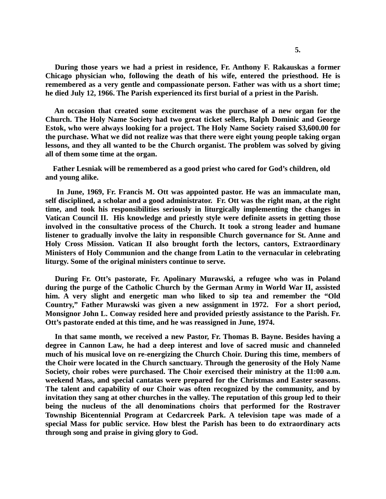**During those years we had a priest in residence, Fr. Anthony F. Rakauskas a former Chicago physician who, following the death of his wife, entered the priesthood. He is remembered as a very gentle and compassionate person. Father was with us a short time; he died July 12, 1966. The Parish experienced its first burial of a priest in the Parish.** 

 **An occasion that created some excitement was the purchase of a new organ for the Church. The Holy Name Society had two great ticket sellers, Ralph Dominic and George Estok, who were always looking for a project. The Holy Name Society raised \$3,600.00 for the purchase. What we did not realize was that there were eight young people taking organ lessons, and they all wanted to be the Church organist. The problem was solved by giving all of them some time at the organ.** 

 **Father Lesniak will be remembered as a good priest who cared for God's children, old and young alike.**

 **In June, 1969, Fr. Francis M. Ott was appointed pastor. He was an immaculate man, self disciplined, a scholar and a good administrator. Fr. Ott was the right man, at the right time, and took his responsibilities seriously in liturgically implementing the changes in Vatican Council II. His knowledge and priestly style were definite assets in getting those involved in the consultative process of the Church. It took a strong leader and humane listener to gradually involve the laity in responsible Church governance for St. Anne and Holy Cross Mission. Vatican II also brought forth the lectors, cantors, Extraordinary Ministers of Holy Communion and the change from Latin to the vernacular in celebrating liturgy. Some of the original ministers continue to serve.**

 **During Fr. Ott's pastorate, Fr. Apolinary Murawski, a refugee who was in Poland during the purge of the Catholic Church by the German Army in World War II, assisted him. A very slight and energetic man who liked to sip tea and remember the "Old Country," Father Murawski was given a new assignment in 1972. For a short period, Monsignor John L. Conway resided here and provided priestly assistance to the Parish. Fr. Ott's pastorate ended at this time, and he was reassigned in June, 1974.**

 **In that same month, we received a new Pastor, Fr. Thomas B. Bayne. Besides having a degree in Cannon Law, he had a deep interest and love of sacred music and channeled much of his musical love on re-energizing the Church Choir. During this time, members of the Choir were located in the Church sanctuary. Through the generosity of the Holy Name Society, choir robes were purchased. The Choir exercised their ministry at the 11:00 a.m. weekend Mass, and special cantatas were prepared for the Christmas and Easter seasons. The talent and capability of our Choir was often recognized by the community, and by invitation they sang at other churches in the valley. The reputation of this group led to their being the nucleus of the all denominations choirs that performed for the Rostraver Township Bicentennial Program at Cedarcreek Park. A television tape was made of a special Mass for public service. How blest the Parish has been to do extraordinary acts through song and praise in giving glory to God.**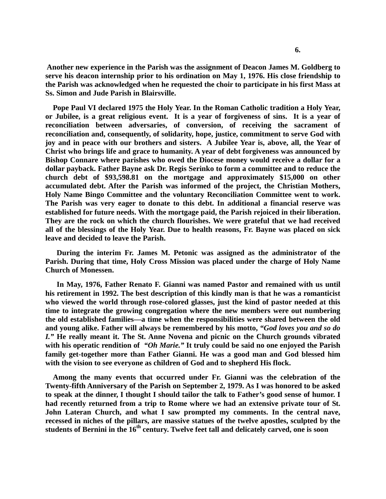**Another new experience in the Parish was the assignment of Deacon James M. Goldberg to serve his deacon internship prior to his ordination on May 1, 1976. His close friendship to the Parish was acknowledged when he requested the choir to participate in his first Mass at Ss. Simon and Jude Parish in Blairsville.** 

 **Pope Paul VI declared 1975 the Holy Year. In the Roman Catholic tradition a Holy Year, or Jubilee, is a great religious event. It is a year of forgiveness of sins. It is a year of reconciliation between adversaries, of conversion, of receiving the sacrament of reconciliation and, consequently, of solidarity, hope, justice, commitment to serve God with joy and in peace with our brothers and sisters. A Jubilee Year is, above, all, the Year of Christ who brings life and grace to humanity. A year of debt forgiveness was announced by Bishop Connare where parishes who owed the Diocese money would receive a dollar for a dollar payback. Father Bayne ask Dr. Regis Serinko to form a committee and to reduce the church debt of \$93,598.81 on the mortgage and approximately \$15,000 on other accumulated debt. After the Parish was informed of the project, the Christian Mothers, Holy Name Bingo Committee and the voluntary Reconciliation Committee went to work. The Parish was very eager to donate to this debt. In additional a financial reserve was established for future needs. With the mortgage paid, the Parish rejoiced in their liberation. They are the rock on which the church flourishes. We were grateful that we had received all of the blessings of the Holy Year. Due to health reasons, Fr. Bayne was placed on sick leave and decided to leave the Parish.**

 **During the interim Fr. James M. Petonic was assigned as the administrator of the Parish. During that time, Holy Cross Mission was placed under the charge of Holy Name Church of Monessen.**

 **In May, 1976, Father Renato F. Gianni was named Pastor and remained with us until his retirement in 1992. The best description of this kindly man is that he was a romanticist who viewed the world through rose-colored glasses, just the kind of pastor needed at this time to integrate the growing congregation where the new members were out numbering the old established families—a time when the responsibilities were shared between the old and young alike. Father will always be remembered by his motto,** *"God loves you and so do I."* **He really meant it. The St. Anne Novena and picnic on the Church grounds vibrated with his operatic rendition of** *"Oh Marie."* **It truly could be said no one enjoyed the Parish family get-together more than Father Gianni. He was a good man and God blessed him with the vision to see everyone as children of God and to shepherd His flock.** 

 **Among the many events that occurred under Fr. Gianni was the celebration of the Twenty-fifth Anniversary of the Parish on September 2, 1979. As I was honored to be asked to speak at the dinner, I thought I should tailor the talk to Father's good sense of humor. I had recently returned from a trip to Rome where we had an extensive private tour of St. John Lateran Church, and what I saw prompted my comments. In the central nave, recessed in niches of the pillars, are massive statues of the twelve apostles, sculpted by the students of Bernini in the 16th century. Twelve feet tall and delicately carved, one is soon**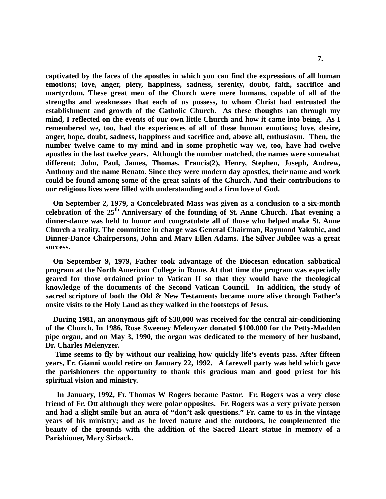**captivated by the faces of the apostles in which you can find the expressions of all human emotions; love, anger, piety, happiness, sadness, serenity, doubt, faith, sacrifice and martyrdom. These great men of the Church were mere humans, capable of all of the strengths and weaknesses that each of us possess, to whom Christ had entrusted the establishment and growth of the Catholic Church. As these thoughts ran through my mind, I reflected on the events of our own little Church and how it came into being. As I remembered we, too, had the experiences of all of these human emotions; love, desire, anger, hope, doubt, sadness, happiness and sacrifice and, above all, enthusiasm. Then, the number twelve came to my mind and in some prophetic way we, too, have had twelve apostles in the last twelve years. Although the number matched, the names were somewhat different; John, Paul, James, Thomas, Francis(2), Henry, Stephen, Joseph, Andrew, Anthony and the name Renato. Since they were modern day apostles, their name and work could be found among some of the great saints of the Church. And their contributions to our religious lives were filled with understanding and a firm love of God.** 

 **On September 2, 1979, a Concelebrated Mass was given as a conclusion to a six-month celebration of the 25th Anniversary of the founding of St. Anne Church. That evening a dinner-dance was held to honor and congratulate all of those who helped make St. Anne Church a reality. The committee in charge was General Chairman, Raymond Yakubic, and Dinner-Dance Chairpersons, John and Mary Ellen Adams. The Silver Jubilee was a great success.**

 **On September 9, 1979, Father took advantage of the Diocesan education sabbatical program at the North American College in Rome. At that time the program was especially geared for those ordained prior to Vatican II so that they would have the theological knowledge of the documents of the Second Vatican Council. In addition, the study of sacred scripture of both the Old & New Testaments became more alive through Father's onsite visits to the Holy Land as they walked in the footsteps of Jesus.**

 **During 1981, an anonymous gift of \$30,000 was received for the central air-conditioning of the Church. In 1986, Rose Sweeney Melenyzer donated \$100,000 for the Petty-Madden pipe organ, and on May 3, 1990, the organ was dedicated to the memory of her husband, Dr. Charles Melenyzer.** 

 **Time seems to fly by without our realizing how quickly life's events pass. After fifteen years, Fr. Gianni would retire on January 22, 1992. A farewell party was held which gave the parishioners the opportunity to thank this gracious man and good priest for his spiritual vision and ministry.**

 **In January, 1992, Fr. Thomas W Rogers became Pastor. Fr. Rogers was a very close friend of Fr. Ott although they were polar opposites. Fr. Rogers was a very private person and had a slight smile but an aura of "don't ask questions." Fr. came to us in the vintage years of his ministry; and as he loved nature and the outdoors, he complemented the beauty of the grounds with the addition of the Sacred Heart statue in memory of a Parishioner, Mary Sirback.**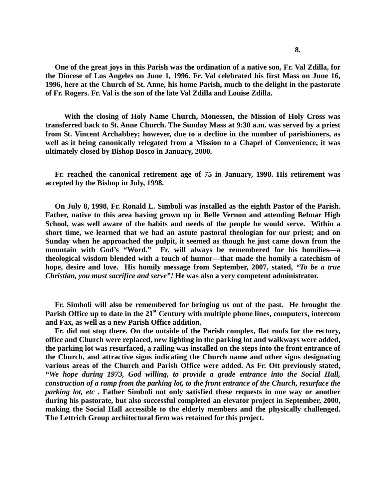**One of the great joys in this Parish was the ordination of a native son, Fr. Val Zdilla, for the Diocese of Los Angeles on June 1, 1996. Fr. Val celebrated his first Mass on June 16, 1996, here at the Church of St. Anne, his home Parish, much to the delight in the pastorate of Fr. Rogers. Fr. Val is the son of the late Val Zdilla and Louise Zdilla.**

 **With the closing of Holy Name Church, Monessen, the Mission of Holy Cross was transferred back to St. Anne Church. The Sunday Mass at 9:30 a.m. was served by a priest from St. Vincent Archabbey; however, due to a decline in the number of parishioners, as well as it being canonically relegated from a Mission to a Chapel of Convenience, it was ultimately closed by Bishop Bosco in January, 2000.**

 **Fr. reached the canonical retirement age of 75 in January, 1998. His retirement was accepted by the Bishop in July, 1998.**

 **On July 8, 1998, Fr. Ronald L. Simboli was installed as the eighth Pastor of the Parish. Father, native to this area having grown up in Belle Vernon and attending Belmar High School, was well aware of the habits and needs of the people he would serve. Within a short time, we learned that we had an astute pastoral theologian for our priest; and on Sunday when he approached the pulpit, it seemed as though he just came down from the mountain with God's "Word." Fr. will always be remembered for his homilies—a theological wisdom blended with a touch of humor—that made the homily a catechism of hope, desire and love. His homily message from September, 2007, stated,** *"To be a true Christian, you must sacrifice and serve"!* **He was also a very competent administrator.**

 **Fr. Simboli will also be remembered for bringing us out of the past. He brought the Parish Office up to date in the 21st Century with multiple phone lines, computers, intercom and Fax, as well as a new Parish Office addition.**

 **Fr. did not stop there. On the outside of the Parish complex, flat roofs for the rectory, office and Church were replaced, new lighting in the parking lot and walkways were added, the parking lot was resurfaced, a railing was installed on the steps into the front entrance of the Church, and attractive signs indicating the Church name and other signs designating various areas of the Church and Parish Office were added. As Fr. Ott previously stated,**  *"We hope during 1973, God willing, to provide a grade entrance into the Social Hall, construction of a ramp from the parking lot, to the front entrance of the Church, resurface the parking lot, etc.* Father Simboli not only satisfied these requests in one way or another **during his pastorate, but also successful completed an elevator project in September, 2000, making the Social Hall accessible to the elderly members and the physically challenged. The Lettrich Group architectural firm was retained for this project.**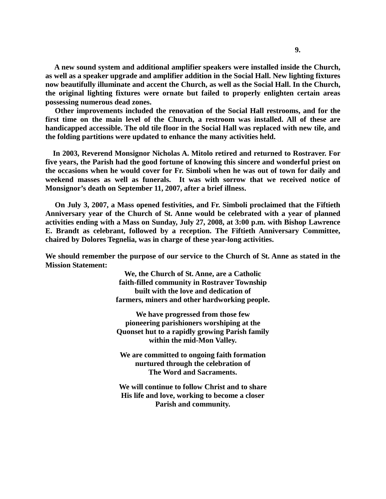**A new sound system and additional amplifier speakers were installed inside the Church, as well as a speaker upgrade and amplifier addition in the Social Hall. New lighting fixtures now beautifully illuminate and accent the Church, as well as the Social Hall. In the Church, the original lighting fixtures were ornate but failed to properly enlighten certain areas possessing numerous dead zones.** 

 **Other improvements included the renovation of the Social Hall restrooms, and for the first time on the main level of the Church, a restroom was installed. All of these are handicapped accessible. The old tile floor in the Social Hall was replaced with new tile, and the folding partitions were updated to enhance the many activities held.**

 **In 2003, Reverend Monsignor Nicholas A. Mitolo retired and returned to Rostraver. For five years, the Parish had the good fortune of knowing this sincere and wonderful priest on the occasions when he would cover for Fr. Simboli when he was out of town for daily and weekend masses as well as funerals. It was with sorrow that we received notice of Monsignor's death on September 11, 2007, after a brief illness.** 

 **On July 3, 2007, a Mass opened festivities, and Fr. Simboli proclaimed that the Fiftieth Anniversary year of the Church of St. Anne would be celebrated with a year of planned activities ending with a Mass on Sunday, July 27, 2008, at 3:00 p.m. with Bishop Lawrence E. Brandt as celebrant, followed by a reception. The Fiftieth Anniversary Committee, chaired by Dolores Tegnelia, was in charge of these year-long activities.** 

**We should remember the purpose of our service to the Church of St. Anne as stated in the Mission Statement:**

> **We, the Church of St. Anne, are a Catholic faith-filled community in Rostraver Township built with the love and dedication of farmers, miners and other hardworking people.**

> **We have progressed from those few pioneering parishioners worshiping at the Quonset hut to a rapidly growing Parish family within the mid-Mon Valley.**

**We are committed to ongoing faith formation nurtured through the celebration of The Word and Sacraments.**

**We will continue to follow Christ and to share His life and love, working to become a closer Parish and community.**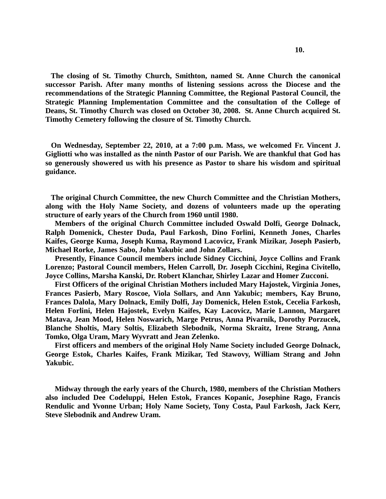**The closing of St. Timothy Church, Smithton, named St. Anne Church the canonical successor Parish. After many months of listening sessions across the Diocese and the recommendations of the Strategic Planning Committee, the Regional Pastoral Council, the Strategic Planning Implementation Committee and the consultation of the College of Deans, St. Timothy Church was closed on October 30, 2008. St. Anne Church acquired St. Timothy Cemetery following the closure of St. Timothy Church.** 

 **On Wednesday, September 22, 2010, at a 7:00 p.m. Mass, we welcomed Fr. Vincent J. Gigliotti who was installed as the ninth Pastor of our Parish. We are thankful that God has so generously showered us with his presence as Pastor to share his wisdom and spiritual guidance.**

 **The original Church Committee, the new Church Committee and the Christian Mothers, along with the Holy Name Society, and dozens of volunteers made up the operating structure of early years of the Church from 1960 until 1980.**

 **Members of the original Church Committee included Oswald Dolfi, George Dolnack, Ralph Domenick, Chester Duda, Paul Farkosh, Dino Forlini, Kenneth Jones, Charles Kaifes, George Kuma, Joseph Kuma, Raymond Lacovicz, Frank Mizikar, Joseph Pasierb, Michael Rorke, James Sabo, John Yakubic and John Zollars.** 

 **Presently, Finance Council members include Sidney Cicchini, Joyce Collins and Frank Lorenzo; Pastoral Council members, Helen Carroll, Dr. Joseph Cicchini, Regina Civitello, Joyce Collins, Marsha Kanski, Dr. Robert Klanchar, Shirley Lazar and Homer Zucconi.**

 **First Officers of the original Christian Mothers included Mary Hajostek, Virginia Jones, Frances Pasierb, Mary Roscoe, Viola Sollars, and Ann Yakubic; members, Kay Bruno, Frances Dalola, Mary Dolnack, Emily Dolfi, Jay Domenick, Helen Estok, Cecelia Farkosh, Helen Forlini, Helen Hajostek, Evelyn Kaifes, Kay Lacovicz, Marie Lannon, Margaret Matava, Jean Mood, Helen Noswarich, Marge Petrus, Anna Pivarnik, Dorothy Porzucek, Blanche Sholtis, Mary Soltis, Elizabeth Slebodnik, Norma Skraitz, Irene Strang, Anna Tomko, Olga Uram, Mary Wyvratt and Jean Zelenko.**

 **First officers and members of the original Holy Name Society included George Dolnack, George Estok, Charles Kaifes, Frank Mizikar, Ted Stawovy, William Strang and John Yakubic.**

 **Midway through the early years of the Church, 1980, members of the Christian Mothers also included Dee Codeluppi, Helen Estok, Frances Kopanic, Josephine Rago, Francis Rendulic and Yvonne Urban; Holy Name Society, Tony Costa, Paul Farkosh, Jack Kerr, Steve Slebodnik and Andrew Uram.**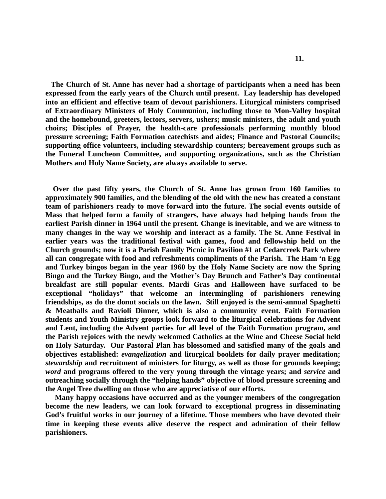**The Church of St. Anne has never had a shortage of participants when a need has been expressed from the early years of the Church until present. Lay leadership has developed into an efficient and effective team of devout parishioners. Liturgical ministers comprised of Extraordinary Ministers of Holy Communion, including those to Mon-Valley hospital and the homebound, greeters, lectors, servers, ushers; music ministers, the adult and youth choirs; Disciples of Prayer, the health-care professionals performing monthly blood pressure screening; Faith Formation catechists and aides; Finance and Pastoral Councils; supporting office volunteers, including stewardship counters; bereavement groups such as the Funeral Luncheon Committee, and supporting organizations, such as the Christian Mothers and Holy Name Society, are always available to serve.**

 **Over the past fifty years, the Church of St. Anne has grown from 160 families to approximately 900 families, and the blending of the old with the new has created a constant team of parishioners ready to move forward into the future. The social events outside of Mass that helped form a family of strangers, have always had helping hands from the earliest Parish dinner in 1964 until the present. Change is inevitable, and we are witness to many changes in the way we worship and interact as a family. The St. Anne Festival in earlier years was the traditional festival with games, food and fellowship held on the Church grounds; now it is a Parish Family Picnic in Pavilion #1 at Cedarcreek Park where all can congregate with food and refreshments compliments of the Parish. The Ham 'n Egg and Turkey bingos began in the year 1960 by the Holy Name Society are now the Spring Bingo and the Turkey Bingo, and the Mother's Day Brunch and Father's Day continental breakfast are still popular events. Mardi Gras and Halloween have surfaced to be exceptional "holidays" that welcome an intermingling of parishioners renewing friendships, as do the donut socials on the lawn. Still enjoyed is the semi-annual Spaghetti & Meatballs and Ravioli Dinner, which is also a community event. Faith Formation students and Youth Ministry groups look forward to the liturgical celebrations for Advent and Lent, including the Advent parties for all level of the Faith Formation program, and the Parish rejoices with the newly welcomed Catholics at the Wine and Cheese Social held on Holy Saturday. Our Pastoral Plan has blossomed and satisfied many of the goals and objectives established:** *evangelization* **and liturgical booklets for daily prayer meditation;**  *stewardship* **and recruitment of ministers for liturgy, as well as those for grounds keeping;**  *word* **and programs offered to the very young through the vintage years; and** *service* **and outreaching socially through the "helping hands" objective of blood pressure screening and the Angel Tree dwelling on those who are appreciative of our efforts.**

 **Many happy occasions have occurred and as the younger members of the congregation become the new leaders, we can look forward to exceptional progress in disseminating God's fruitful works in our journey of a lifetime. Those members who have devoted their time in keeping these events alive deserve the respect and admiration of their fellow parishioners.**